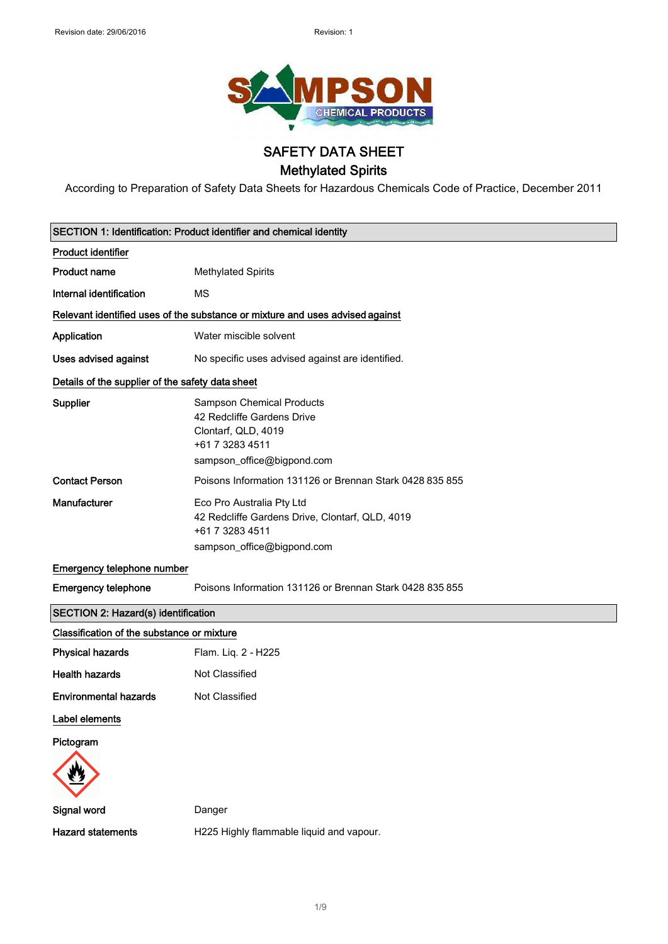

# SAFETY DATA SHEET Methylated Spirits

According to Preparation of Safety Data Sheets for Hazardous Chemicals Code of Practice, December 2011

|                                                  | SECTION 1: Identification: Product identifier and chemical identity                                                                    |
|--------------------------------------------------|----------------------------------------------------------------------------------------------------------------------------------------|
| <b>Product identifier</b>                        |                                                                                                                                        |
| <b>Product name</b>                              | <b>Methylated Spirits</b>                                                                                                              |
| Internal identification                          | <b>MS</b>                                                                                                                              |
|                                                  | Relevant identified uses of the substance or mixture and uses advised against                                                          |
| Application                                      | Water miscible solvent                                                                                                                 |
| Uses advised against                             | No specific uses advised against are identified.                                                                                       |
| Details of the supplier of the safety data sheet |                                                                                                                                        |
| Supplier                                         | <b>Sampson Chemical Products</b><br>42 Redcliffe Gardens Drive<br>Clontarf, QLD, 4019<br>+61 7 3283 4511<br>sampson_office@bigpond.com |
| <b>Contact Person</b>                            | Poisons Information 131126 or Brennan Stark 0428 835 855                                                                               |
| Manufacturer                                     | Eco Pro Australia Pty Ltd<br>42 Redcliffe Gardens Drive, Clontarf, QLD, 4019<br>+61 7 3283 4511<br>sampson_office@bigpond.com          |
| Emergency telephone number                       |                                                                                                                                        |
| <b>Emergency telephone</b>                       | Poisons Information 131126 or Brennan Stark 0428 835 855                                                                               |
| <b>SECTION 2: Hazard(s) identification</b>       |                                                                                                                                        |
| Classification of the substance or mixture       |                                                                                                                                        |
| <b>Physical hazards</b>                          | Flam. Liq. 2 - H225                                                                                                                    |
| <b>Health hazards</b>                            | Not Classified                                                                                                                         |
| <b>Environmental hazards</b>                     | Not Classified                                                                                                                         |
| Label elements                                   |                                                                                                                                        |
| Pictogram                                        |                                                                                                                                        |
| Signal word                                      | Danger                                                                                                                                 |
| <b>Hazard statements</b>                         | H225 Highly flammable liquid and vapour.                                                                                               |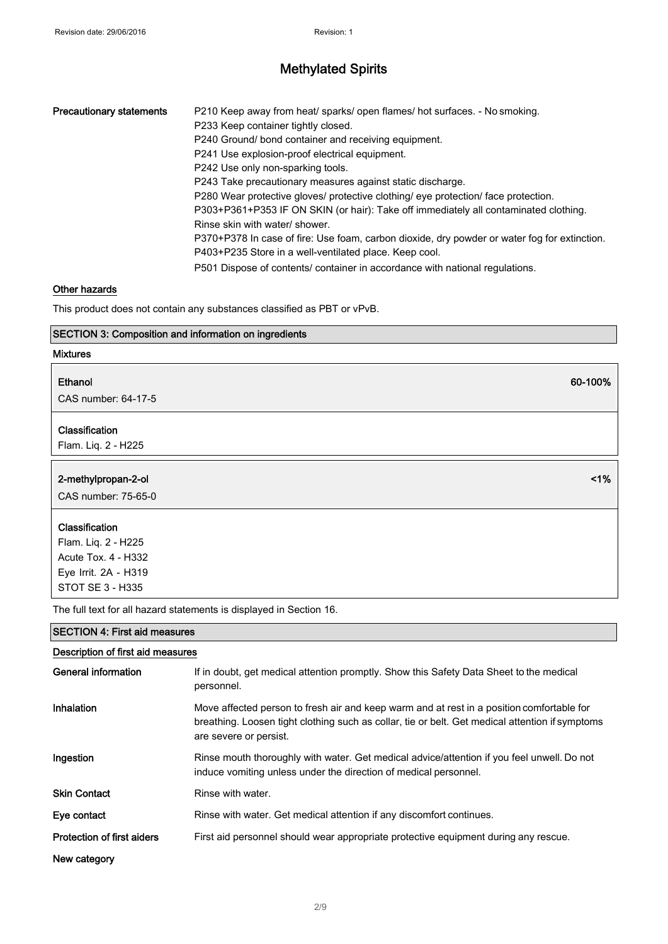| <b>Precautionary statements</b> | P210 Keep away from heat/ sparks/ open flames/ hot surfaces. - No smoking.                   |
|---------------------------------|----------------------------------------------------------------------------------------------|
|                                 | P233 Keep container tightly closed.                                                          |
|                                 | P240 Ground/ bond container and receiving equipment.                                         |
|                                 | P241 Use explosion-proof electrical equipment.                                               |
|                                 | P242 Use only non-sparking tools.                                                            |
|                                 | P243 Take precautionary measures against static discharge.                                   |
|                                 | P280 Wear protective gloves/ protective clothing/ eye protection/ face protection.           |
|                                 | P303+P361+P353 IF ON SKIN (or hair): Take off immediately all contaminated clothing.         |
|                                 | Rinse skin with water/ shower.                                                               |
|                                 | P370+P378 In case of fire: Use foam, carbon dioxide, dry powder or water fog for extinction. |
|                                 | P403+P235 Store in a well-ventilated place. Keep cool.                                       |
|                                 | P501 Dispose of contents/ container in accordance with national regulations.                 |

## Other hazards

This product does not contain any substances classified as PBT or vPvB.

## SECTION 3: Composition and information on ingredients

#### Mixtures

#### Ethanol

CAS number: 64-17-5

#### Classification

Flam. Liq. 2 - H225

| 2-methylpropan-2-ol<br>CAS number: 75-65-0 | $< 1\%$ |
|--------------------------------------------|---------|
| Classification                             |         |

60-100%

Flam. Liq. 2 - H225 Acute Tox. 4 - H332 Eye Irrit. 2A - H319 STOT SE 3 - H335

The full text for all hazard statements is displayed in Section 16.

## SECTION 4: First aid measures

| Description of first aid measures |                                                                                                                                                                                                                        |  |
|-----------------------------------|------------------------------------------------------------------------------------------------------------------------------------------------------------------------------------------------------------------------|--|
| General information               | If in doubt, get medical attention promptly. Show this Safety Data Sheet to the medical<br>personnel.                                                                                                                  |  |
| Inhalation                        | Move affected person to fresh air and keep warm and at rest in a position comfortable for<br>breathing. Loosen tight clothing such as collar, tie or belt. Get medical attention if symptoms<br>are severe or persist. |  |
| Ingestion                         | Rinse mouth thoroughly with water. Get medical advice/attention if you feel unwell. Do not<br>induce vomiting unless under the direction of medical personnel.                                                         |  |
| <b>Skin Contact</b>               | Rinse with water.                                                                                                                                                                                                      |  |
| Eye contact                       | Rinse with water. Get medical attention if any discomfort continues.                                                                                                                                                   |  |
| <b>Protection of first aiders</b> | First aid personnel should wear appropriate protective equipment during any rescue.                                                                                                                                    |  |
| New category                      |                                                                                                                                                                                                                        |  |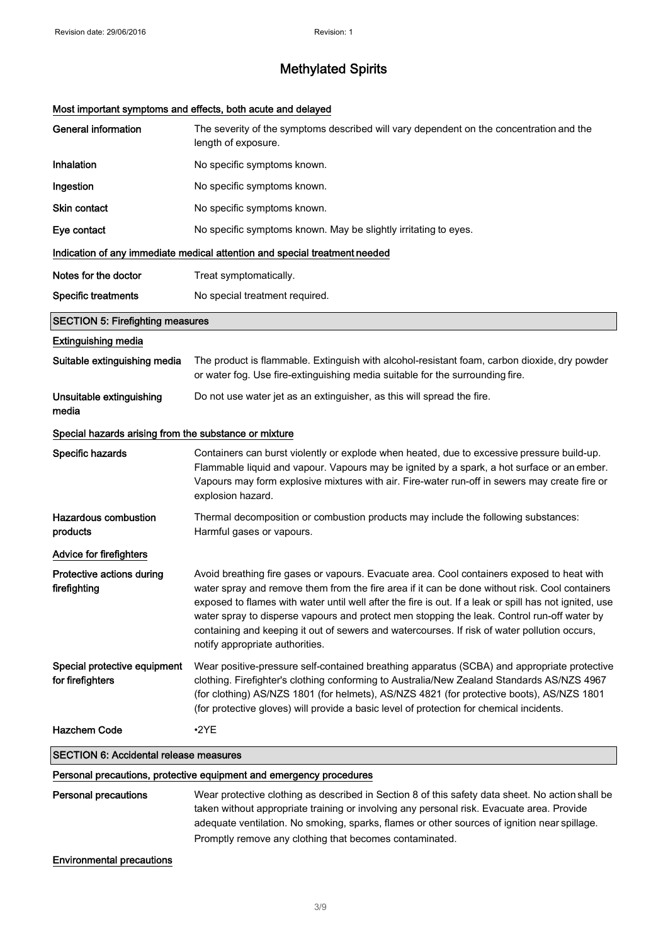# Most important symptoms and effects, both acute and delayed

| <b>General information</b>                            | The severity of the symptoms described will vary dependent on the concentration and the<br>length of exposure.                                                                                                                                                                                                                                                                                                                                                                                                                           |
|-------------------------------------------------------|------------------------------------------------------------------------------------------------------------------------------------------------------------------------------------------------------------------------------------------------------------------------------------------------------------------------------------------------------------------------------------------------------------------------------------------------------------------------------------------------------------------------------------------|
| Inhalation                                            | No specific symptoms known.                                                                                                                                                                                                                                                                                                                                                                                                                                                                                                              |
| Ingestion                                             | No specific symptoms known.                                                                                                                                                                                                                                                                                                                                                                                                                                                                                                              |
| Skin contact                                          | No specific symptoms known.                                                                                                                                                                                                                                                                                                                                                                                                                                                                                                              |
| Eye contact                                           | No specific symptoms known. May be slightly irritating to eyes.                                                                                                                                                                                                                                                                                                                                                                                                                                                                          |
|                                                       | Indication of any immediate medical attention and special treatment needed                                                                                                                                                                                                                                                                                                                                                                                                                                                               |
| Notes for the doctor                                  | Treat symptomatically.                                                                                                                                                                                                                                                                                                                                                                                                                                                                                                                   |
| <b>Specific treatments</b>                            | No special treatment required.                                                                                                                                                                                                                                                                                                                                                                                                                                                                                                           |
| <b>SECTION 5: Firefighting measures</b>               |                                                                                                                                                                                                                                                                                                                                                                                                                                                                                                                                          |
| <b>Extinguishing media</b>                            |                                                                                                                                                                                                                                                                                                                                                                                                                                                                                                                                          |
| Suitable extinguishing media                          | The product is flammable. Extinguish with alcohol-resistant foam, carbon dioxide, dry powder<br>or water fog. Use fire-extinguishing media suitable for the surrounding fire.                                                                                                                                                                                                                                                                                                                                                            |
| Unsuitable extinguishing<br>media                     | Do not use water jet as an extinguisher, as this will spread the fire.                                                                                                                                                                                                                                                                                                                                                                                                                                                                   |
| Special hazards arising from the substance or mixture |                                                                                                                                                                                                                                                                                                                                                                                                                                                                                                                                          |
| Specific hazards                                      | Containers can burst violently or explode when heated, due to excessive pressure build-up.<br>Flammable liquid and vapour. Vapours may be ignited by a spark, a hot surface or an ember.<br>Vapours may form explosive mixtures with air. Fire-water run-off in sewers may create fire or<br>explosion hazard.                                                                                                                                                                                                                           |
| <b>Hazardous combustion</b><br>products               | Thermal decomposition or combustion products may include the following substances:<br>Harmful gases or vapours.                                                                                                                                                                                                                                                                                                                                                                                                                          |
| <b>Advice for firefighters</b>                        |                                                                                                                                                                                                                                                                                                                                                                                                                                                                                                                                          |
| Protective actions during<br>firefighting             | Avoid breathing fire gases or vapours. Evacuate area. Cool containers exposed to heat with<br>water spray and remove them from the fire area if it can be done without risk. Cool containers<br>exposed to flames with water until well after the fire is out. If a leak or spill has not ignited, use<br>water spray to disperse vapours and protect men stopping the leak. Control run-off water by<br>containing and keeping it out of sewers and watercourses. If risk of water pollution occurs,<br>notify appropriate authorities. |
| Special protective equipment<br>for firefighters      | Wear positive-pressure self-contained breathing apparatus (SCBA) and appropriate protective<br>clothing. Firefighter's clothing conforming to Australia/New Zealand Standards AS/NZS 4967<br>(for clothing) AS/NZS 1801 (for helmets), AS/NZS 4821 (for protective boots), AS/NZS 1801<br>(for protective gloves) will provide a basic level of protection for chemical incidents.                                                                                                                                                       |
| <b>Hazchem Code</b>                                   | $\cdot$ 2YE                                                                                                                                                                                                                                                                                                                                                                                                                                                                                                                              |
| <b>SECTION 6: Accidental release measures</b>         |                                                                                                                                                                                                                                                                                                                                                                                                                                                                                                                                          |
|                                                       | Personal precautions, protective equipment and emergency procedures                                                                                                                                                                                                                                                                                                                                                                                                                                                                      |
| <b>Personal precautions</b>                           | Wear protective clothing as described in Section 8 of this safety data sheet. No action shall be<br>taken without appropriate training or involving any personal risk. Evacuate area. Provide<br>adequate ventilation. No smoking, sparks, flames or other sources of ignition near spillage.<br>Promptly remove any clothing that becomes contaminated.                                                                                                                                                                                 |

Environmental precautions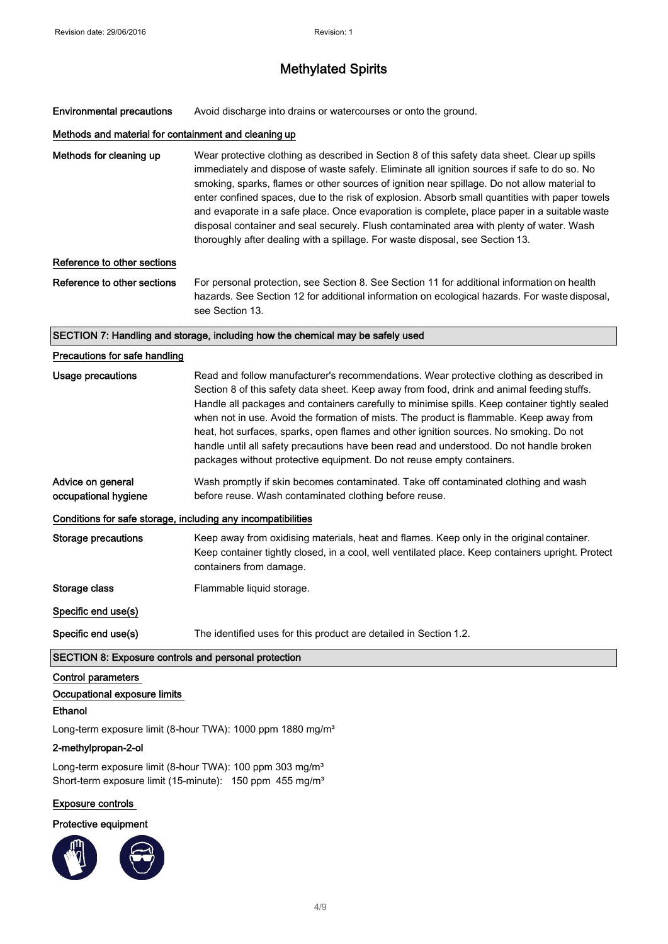Environmental precautions Avoid discharge into drains or watercourses or onto the ground.

## Methods and material for containment and cleaning up

Methods for cleaning up Wear protective clothing as described in Section 8 of this safety data sheet. Clear up spills immediately and dispose of waste safely. Eliminate all ignition sources if safe to do so. No smoking, sparks, flames or other sources of ignition near spillage. Do not allow material to enter confined spaces, due to the risk of explosion. Absorb small quantities with paper towels and evaporate in a safe place. Once evaporation is complete, place paper in a suitable waste disposal container and seal securely. Flush contaminated area with plenty of water. Wash thoroughly after dealing with a spillage. For waste disposal, see Section 13.

## Reference to other sections

Reference to other sections For personal protection, see Section 8. See Section 11 for additional information on health hazards. See Section 12 for additional information on ecological hazards. For waste disposal, see Section 13.

#### SECTION 7: Handling and storage, including how the chemical may be safely used

| Precautions for safe handling                        |                                                                                                                                                                                                                                                                                                                                                                                                                                                                                                                                                                                                                                                   |
|------------------------------------------------------|---------------------------------------------------------------------------------------------------------------------------------------------------------------------------------------------------------------------------------------------------------------------------------------------------------------------------------------------------------------------------------------------------------------------------------------------------------------------------------------------------------------------------------------------------------------------------------------------------------------------------------------------------|
| Usage precautions                                    | Read and follow manufacturer's recommendations. Wear protective clothing as described in<br>Section 8 of this safety data sheet. Keep away from food, drink and animal feeding stuffs.<br>Handle all packages and containers carefully to minimise spills. Keep container tightly sealed<br>when not in use. Avoid the formation of mists. The product is flammable. Keep away from<br>heat, hot surfaces, sparks, open flames and other ignition sources. No smoking. Do not<br>handle until all safety precautions have been read and understood. Do not handle broken<br>packages without protective equipment. Do not reuse empty containers. |
| Advice on general<br>occupational hygiene            | Wash promptly if skin becomes contaminated. Take off contaminated clothing and wash<br>before reuse. Wash contaminated clothing before reuse.                                                                                                                                                                                                                                                                                                                                                                                                                                                                                                     |
|                                                      | Conditions for safe storage, including any incompatibilities                                                                                                                                                                                                                                                                                                                                                                                                                                                                                                                                                                                      |
| Storage precautions                                  | Keep away from oxidising materials, heat and flames. Keep only in the original container.<br>Keep container tightly closed, in a cool, well ventilated place. Keep containers upright. Protect<br>containers from damage.                                                                                                                                                                                                                                                                                                                                                                                                                         |
| Storage class                                        | Flammable liquid storage.                                                                                                                                                                                                                                                                                                                                                                                                                                                                                                                                                                                                                         |
| Specific end use(s)                                  |                                                                                                                                                                                                                                                                                                                                                                                                                                                                                                                                                                                                                                                   |
| Specific end use(s)                                  | The identified uses for this product are detailed in Section 1.2.                                                                                                                                                                                                                                                                                                                                                                                                                                                                                                                                                                                 |
| SECTION 8: Exposure controls and personal protection |                                                                                                                                                                                                                                                                                                                                                                                                                                                                                                                                                                                                                                                   |

# Control parameters

# Occupational exposure limits

# Ethanol

Long-term exposure limit (8-hour TWA): 1000 ppm 1880 mg/m<sup>3</sup>

# 2-methylpropan-2-ol

Long-term exposure limit (8-hour TWA): 100 ppm 303 mg/m<sup>3</sup> Short-term exposure limit (15-minute): 150 ppm 455 mg/m<sup>3</sup>

# Exposure controls

# Protective equipment

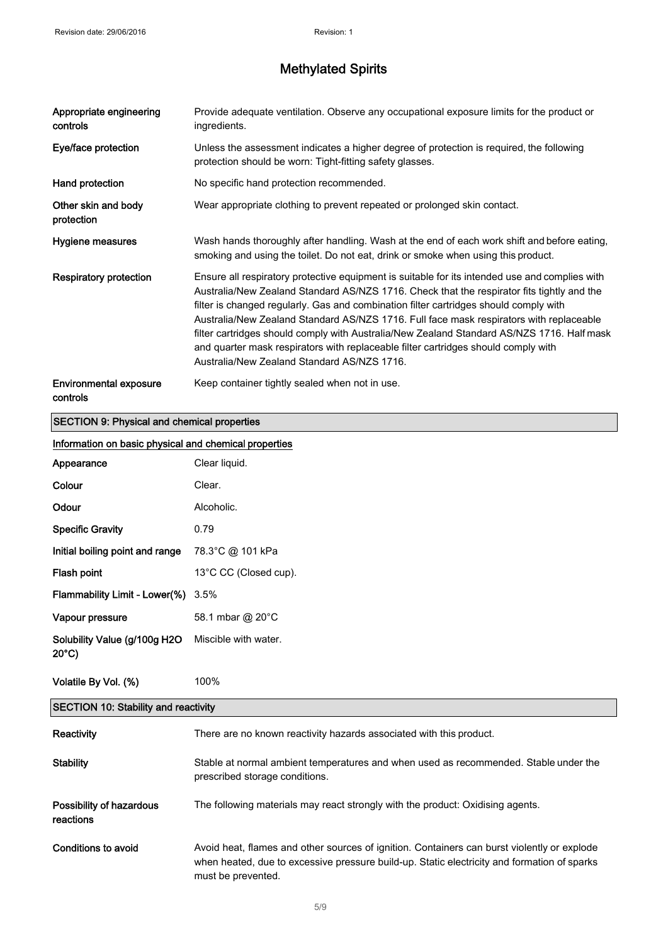| Appropriate engineering<br>controls | Provide adequate ventilation. Observe any occupational exposure limits for the product or<br>ingredients.                                                                                                                                                                                                                                                                                                                                                                                                                                                                                                           |
|-------------------------------------|---------------------------------------------------------------------------------------------------------------------------------------------------------------------------------------------------------------------------------------------------------------------------------------------------------------------------------------------------------------------------------------------------------------------------------------------------------------------------------------------------------------------------------------------------------------------------------------------------------------------|
| Eye/face protection                 | Unless the assessment indicates a higher degree of protection is required, the following<br>protection should be worn: Tight-fitting safety glasses.                                                                                                                                                                                                                                                                                                                                                                                                                                                                |
| Hand protection                     | No specific hand protection recommended.                                                                                                                                                                                                                                                                                                                                                                                                                                                                                                                                                                            |
| Other skin and body<br>protection   | Wear appropriate clothing to prevent repeated or prolonged skin contact.                                                                                                                                                                                                                                                                                                                                                                                                                                                                                                                                            |
| Hygiene measures                    | Wash hands thoroughly after handling. Wash at the end of each work shift and before eating,<br>smoking and using the toilet. Do not eat, drink or smoke when using this product.                                                                                                                                                                                                                                                                                                                                                                                                                                    |
| <b>Respiratory protection</b>       | Ensure all respiratory protective equipment is suitable for its intended use and complies with<br>Australia/New Zealand Standard AS/NZS 1716. Check that the respirator fits tightly and the<br>filter is changed regularly. Gas and combination filter cartridges should comply with<br>Australia/New Zealand Standard AS/NZS 1716. Full face mask respirators with replaceable<br>filter cartridges should comply with Australia/New Zealand Standard AS/NZS 1716. Half mask<br>and quarter mask respirators with replaceable filter cartridges should comply with<br>Australia/New Zealand Standard AS/NZS 1716. |
| Environmental exposure<br>controls  | Keep container tightly sealed when not in use.                                                                                                                                                                                                                                                                                                                                                                                                                                                                                                                                                                      |

# SECTION 9: Physical and chemical properties

| Information on basic physical and chemical properties |                                                                                                                                                                                            |  |
|-------------------------------------------------------|--------------------------------------------------------------------------------------------------------------------------------------------------------------------------------------------|--|
| Appearance                                            | Clear liquid.                                                                                                                                                                              |  |
| Colour                                                | Clear.                                                                                                                                                                                     |  |
| Odour                                                 | Alcoholic.                                                                                                                                                                                 |  |
| <b>Specific Gravity</b>                               | 0.79                                                                                                                                                                                       |  |
| Initial boiling point and range                       | 78.3°C @ 101 kPa                                                                                                                                                                           |  |
| Flash point                                           | 13°C CC (Closed cup).                                                                                                                                                                      |  |
| Flammability Limit - Lower(%)                         | 3.5%                                                                                                                                                                                       |  |
| Vapour pressure                                       | 58.1 mbar @ 20°C                                                                                                                                                                           |  |
| Solubility Value (g/100g H2O<br>$20^{\circ}$ C)       | Miscible with water.                                                                                                                                                                       |  |
| Volatile By Vol. (%)                                  | 100%                                                                                                                                                                                       |  |
| <b>SECTION 10: Stability and reactivity</b>           |                                                                                                                                                                                            |  |
| Reactivity                                            | There are no known reactivity hazards associated with this product.                                                                                                                        |  |
| <b>Stability</b>                                      | Stable at normal ambient temperatures and when used as recommended. Stable under the<br>prescribed storage conditions.                                                                     |  |
| Possibility of hazardous<br>reactions                 | The following materials may react strongly with the product: Oxidising agents.                                                                                                             |  |
| <b>Conditions to avoid</b>                            | Avoid heat, flames and other sources of ignition. Containers can burst violently or explode<br>when heated, due to excessive pressure build-up. Static electricity and formation of sparks |  |

must be prevented.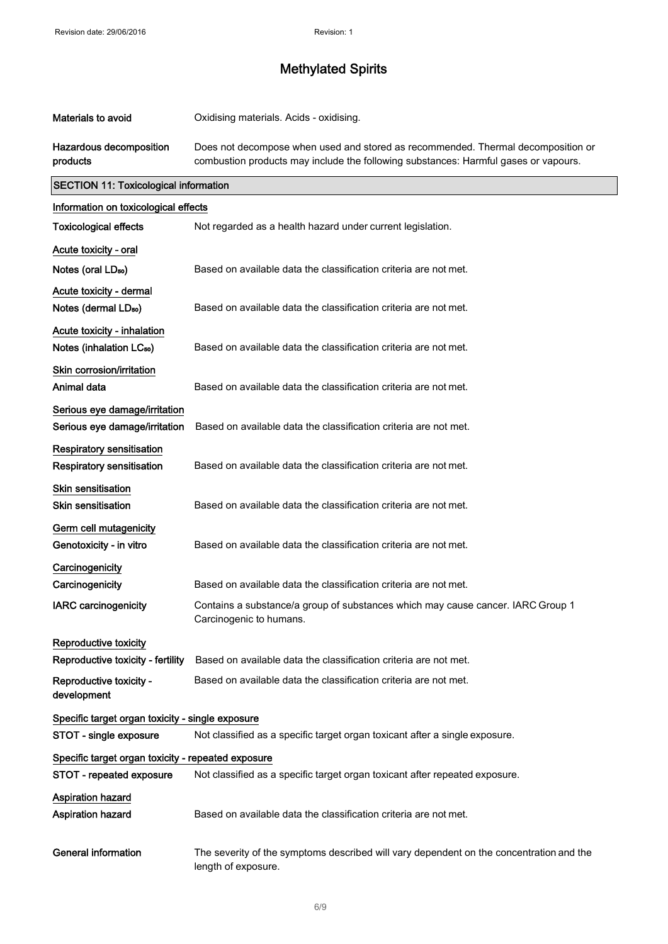| <b>Materials to avoid</b>                                      | Oxidising materials. Acids - oxidising.                                                                                                                                 |
|----------------------------------------------------------------|-------------------------------------------------------------------------------------------------------------------------------------------------------------------------|
| Hazardous decomposition<br>products                            | Does not decompose when used and stored as recommended. Thermal decomposition or<br>combustion products may include the following substances: Harmful gases or vapours. |
| <b>SECTION 11: Toxicological information</b>                   |                                                                                                                                                                         |
| Information on toxicological effects                           |                                                                                                                                                                         |
| <b>Toxicological effects</b>                                   | Not regarded as a health hazard under current legislation.                                                                                                              |
| Acute toxicity - oral                                          |                                                                                                                                                                         |
| Notes (oral LD <sub>50</sub> )                                 | Based on available data the classification criteria are not met.                                                                                                        |
| Acute toxicity - dermal                                        |                                                                                                                                                                         |
| Notes (dermal LD <sub>50</sub> )                               | Based on available data the classification criteria are not met.                                                                                                        |
| Acute toxicity - inhalation                                    |                                                                                                                                                                         |
| Notes (inhalation LC <sub>50</sub> )                           | Based on available data the classification criteria are not met.                                                                                                        |
| Skin corrosion/irritation                                      |                                                                                                                                                                         |
| Animal data                                                    | Based on available data the classification criteria are not met.                                                                                                        |
| Serious eye damage/irritation<br>Serious eye damage/irritation | Based on available data the classification criteria are not met.                                                                                                        |
| <b>Respiratory sensitisation</b><br>Respiratory sensitisation  | Based on available data the classification criteria are not met.                                                                                                        |
| Skin sensitisation<br><b>Skin sensitisation</b>                | Based on available data the classification criteria are not met.                                                                                                        |
| Germ cell mutagenicity<br>Genotoxicity - in vitro              | Based on available data the classification criteria are not met.                                                                                                        |
| Carcinogenicity                                                |                                                                                                                                                                         |
| Carcinogenicity                                                | Based on available data the classification criteria are not met.                                                                                                        |
| <b>IARC carcinogenicity</b>                                    | Contains a substance/a group of substances which may cause cancer. IARC Group 1<br>Carcinogenic to humans.                                                              |
| Reproductive toxicity                                          |                                                                                                                                                                         |
| Reproductive toxicity - fertility                              | Based on available data the classification criteria are not met.                                                                                                        |
| Reproductive toxicity -<br>development                         | Based on available data the classification criteria are not met.                                                                                                        |
| Specific target organ toxicity - single exposure               |                                                                                                                                                                         |
| STOT - single exposure                                         | Not classified as a specific target organ toxicant after a single exposure.                                                                                             |
| Specific target organ toxicity - repeated exposure             |                                                                                                                                                                         |
| STOT - repeated exposure                                       | Not classified as a specific target organ toxicant after repeated exposure.                                                                                             |
| <b>Aspiration hazard</b><br>Aspiration hazard                  | Based on available data the classification criteria are not met.                                                                                                        |
| <b>General information</b>                                     | The severity of the symptoms described will vary dependent on the concentration and the<br>length of exposure.                                                          |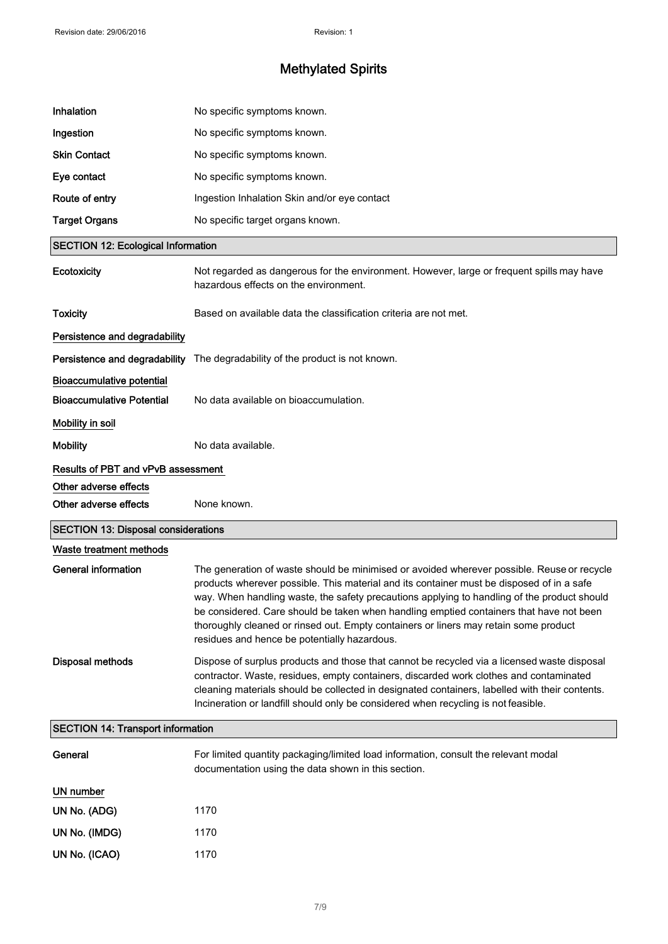| Inhalation                                 | No specific symptoms known.                                                                                                                                                                                                                                                                                                                                                                                                                                                                                               |
|--------------------------------------------|---------------------------------------------------------------------------------------------------------------------------------------------------------------------------------------------------------------------------------------------------------------------------------------------------------------------------------------------------------------------------------------------------------------------------------------------------------------------------------------------------------------------------|
| Ingestion                                  | No specific symptoms known.                                                                                                                                                                                                                                                                                                                                                                                                                                                                                               |
| <b>Skin Contact</b>                        | No specific symptoms known.                                                                                                                                                                                                                                                                                                                                                                                                                                                                                               |
| Eye contact                                | No specific symptoms known.                                                                                                                                                                                                                                                                                                                                                                                                                                                                                               |
| Route of entry                             | Ingestion Inhalation Skin and/or eye contact                                                                                                                                                                                                                                                                                                                                                                                                                                                                              |
| <b>Target Organs</b>                       | No specific target organs known.                                                                                                                                                                                                                                                                                                                                                                                                                                                                                          |
| <b>SECTION 12: Ecological Information</b>  |                                                                                                                                                                                                                                                                                                                                                                                                                                                                                                                           |
| Ecotoxicity                                | Not regarded as dangerous for the environment. However, large or frequent spills may have<br>hazardous effects on the environment.                                                                                                                                                                                                                                                                                                                                                                                        |
| <b>Toxicity</b>                            | Based on available data the classification criteria are not met.                                                                                                                                                                                                                                                                                                                                                                                                                                                          |
| Persistence and degradability              |                                                                                                                                                                                                                                                                                                                                                                                                                                                                                                                           |
| Persistence and degradability              | The degradability of the product is not known.                                                                                                                                                                                                                                                                                                                                                                                                                                                                            |
| <b>Bioaccumulative potential</b>           |                                                                                                                                                                                                                                                                                                                                                                                                                                                                                                                           |
| <b>Bioaccumulative Potential</b>           | No data available on bioaccumulation.                                                                                                                                                                                                                                                                                                                                                                                                                                                                                     |
| Mobility in soil                           |                                                                                                                                                                                                                                                                                                                                                                                                                                                                                                                           |
| <b>Mobility</b>                            | No data available.                                                                                                                                                                                                                                                                                                                                                                                                                                                                                                        |
| <b>Results of PBT and vPvB assessment</b>  |                                                                                                                                                                                                                                                                                                                                                                                                                                                                                                                           |
| Other adverse effects                      |                                                                                                                                                                                                                                                                                                                                                                                                                                                                                                                           |
| Other adverse effects                      | None known.                                                                                                                                                                                                                                                                                                                                                                                                                                                                                                               |
| <b>SECTION 13: Disposal considerations</b> |                                                                                                                                                                                                                                                                                                                                                                                                                                                                                                                           |
| Waste treatment methods                    |                                                                                                                                                                                                                                                                                                                                                                                                                                                                                                                           |
| <b>General information</b>                 | The generation of waste should be minimised or avoided wherever possible. Reuse or recycle<br>products wherever possible. This material and its container must be disposed of in a safe<br>way. When handling waste, the safety precautions applying to handling of the product should<br>be considered. Care should be taken when handling emptied containers that have not been<br>thoroughly cleaned or rinsed out. Empty containers or liners may retain some product<br>residues and hence be potentially hazardous. |
| <b>Disposal methods</b>                    | Dispose of surplus products and those that cannot be recycled via a licensed waste disposal<br>contractor. Waste, residues, empty containers, discarded work clothes and contaminated<br>cleaning materials should be collected in designated containers, labelled with their contents.<br>Incineration or landfill should only be considered when recycling is not feasible.                                                                                                                                             |
| <b>SECTION 14: Transport information</b>   |                                                                                                                                                                                                                                                                                                                                                                                                                                                                                                                           |
| General                                    | For limited quantity packaging/limited load information, consult the relevant modal<br>documentation using the data shown in this section.                                                                                                                                                                                                                                                                                                                                                                                |
| UN number                                  |                                                                                                                                                                                                                                                                                                                                                                                                                                                                                                                           |
| UN No. (ADG)                               | 1170                                                                                                                                                                                                                                                                                                                                                                                                                                                                                                                      |
| UN No. (IMDG)                              | 1170                                                                                                                                                                                                                                                                                                                                                                                                                                                                                                                      |
| UN No. (ICAO)                              | 1170                                                                                                                                                                                                                                                                                                                                                                                                                                                                                                                      |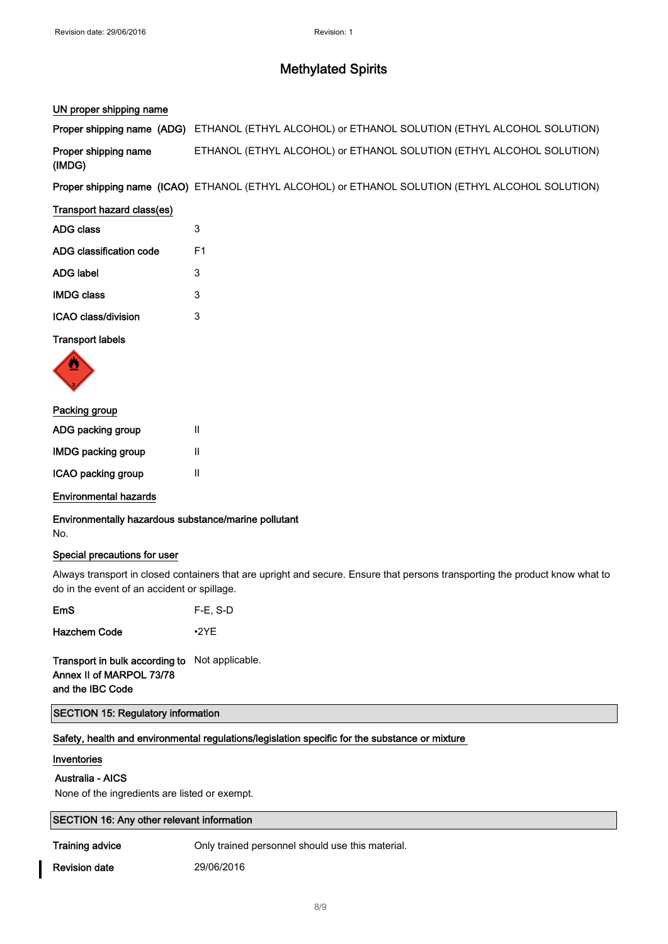## UN proper shipping name

|                                | Proper shipping name (ADG) ETHANOL (ETHYL ALCOHOL) or ETHANOL SOLUTION (ETHYL ALCOHOL SOLUTION)  |
|--------------------------------|--------------------------------------------------------------------------------------------------|
| Proper shipping name<br>(IMDG) | ETHANOL (ETHYL ALCOHOL) or ETHANOL SOLUTION (ETHYL ALCOHOL SOLUTION)                             |
|                                | Proper shipping name (ICAO) ETHANOL (ETHYL ALCOHOL) or ETHANOL SOLUTION (ETHYL ALCOHOL SOLUTION) |
| Transport hazard class(es)     |                                                                                                  |
| <b>ADG class</b>               | 3                                                                                                |
| ADG classification code        | F1                                                                                               |
| <b>ADG label</b>               | 3                                                                                                |
| <b>IMDG class</b>              | 3                                                                                                |

ICAO class/division 3

## Transport labels



## Packing group

| ADG packing group         | Ш |
|---------------------------|---|
| <b>IMDG packing group</b> | Ш |
| ICAO packing group        | Ш |

## Environmental hazards

Environmentally hazardous substance/marine pollutant No.

## Special precautions for user

Always transport in closed containers that are upright and secure. Ensure that persons transporting the product know what to do in the event of an accident or spillage.

| $F-E$ , S-D |
|-------------|
|             |

Hazchem Code •2YE

Transport in bulk according to Not applicable. Annex II of MARPOL 73/78 and the IBC Code

## SECTION 15: Regulatory information

Safety, health and environmental regulations/legislation specific for the substance or mixture

## Inventories

# Australia - AICS

None of the ingredients are listed or exempt.

# SECTION 16: Any other relevant information

Training advice **Only trained personnel should use this material.** 

Revision date 29/06/2016